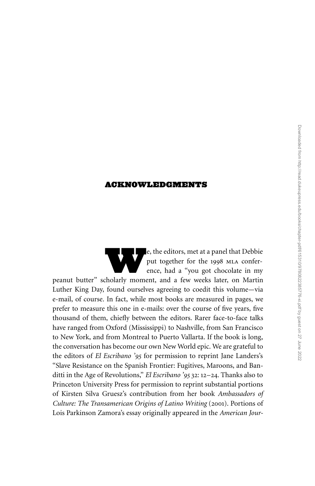## ACKNOWLEDGMENTS

e, the editors, met at a panel that Debbie<br>put together for the 1998 MLA conference, had a "you got chocolate in my<br>helarly moment, and a few weeks later on Martin put together for the 1998 MLA conference, had a ''you got chocolate in my peanut butter'' scholarly moment, and a few weeks later, on Martin Luther King Day, found ourselves agreeing to coedit this volume—via e-mail, of course. In fact, while most books are measured in pages, we prefer to measure this one in e-mails: over the course of five years, five thousand of them, chiefly between the editors. Rarer face-to-face talks have ranged from Oxford (Mississippi) to Nashville, from San Francisco to New York, and from Montreal to Puerto Vallarta. If the book is long, the conversation has become our own New World epic. We are grateful to the editors of *El Escribano '95* for permission to reprint Jane Landers's "Slave Resistance on the Spanish Frontier: Fugitives, Maroons, and Banditti in the Age of Revolutions,'' *El Escribano '95* 32: 12–24. Thanks also to Princeton University Press for permission to reprint substantial portions of Kirsten Silva Gruesz's contribution from her book *Ambassadors of Culture: The Transamerican Origins of Latino Writing* (2001). Portions of Lois Parkinson Zamora's essay originally appeared in the *American Jour-*